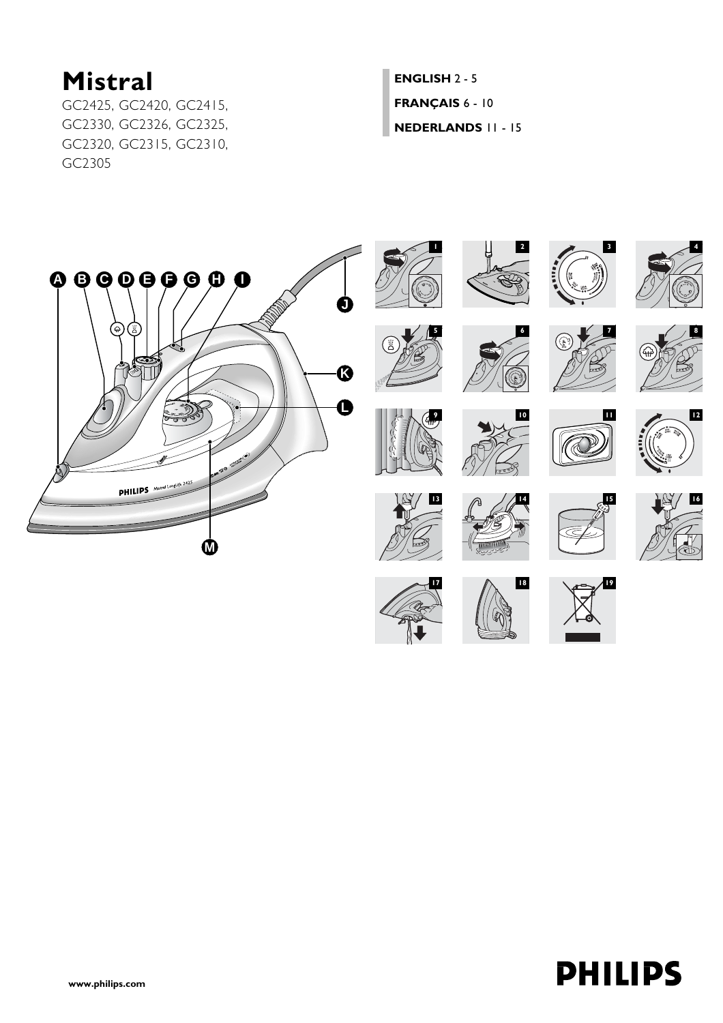# **Mistral**

GC2425, GC2420, GC2415, GC2330, GC2326, GC2325, GC2320, GC2315, GC2310, GC2305

**[ENGLISH](#page-1-0)** 2 - 5 **[FRANÇAIS](#page-5-0)** 6 - 10 **[NEDERLANDS](#page-10-0)** 11 - 15

















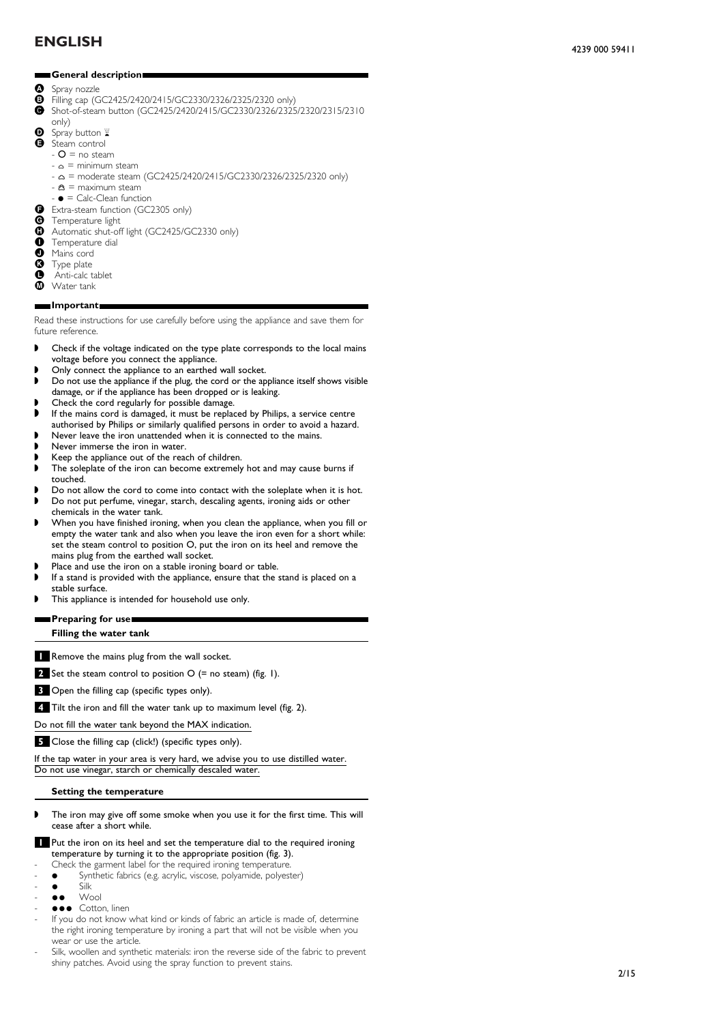## <span id="page-1-0"></span>**General description.**

- Spray nozzle<br>**B** Filling can (C
- $\bullet$  Filling cap (GC2425/2420/2415/GC2330/2326/2325/2320 only)<br>  $\bullet$  Shot-of-steam button (GC2425/2420/2415/GC2330/2326/2325
- C Shot-of-steam button (GC2425/2420/2415/GC2330/2326/2325/2320/2315/2310 only)
- $\bullet$  Spray button
- E Steam control
	- $-$  O = no steam
	- $\alpha$  = minimum steam
	- $-\Delta$  = moderate steam (GC2425/2420/2415/GC2330/2326/2325/2320 only)
	- $\triangle$  = maximum steam
	- $\bullet$  = Calc-Clean function
- G Extra-steam function (GC2305 only)<br>G Temperature light
- 
- **G** Temperature light<br>**G** Automatic shut-of **O** Automatic shut-off light (GC2425/GC2330 only)
- **O** Temperature dial<br>**O** Mains cord
- 
- **O** Mains cord<br>**G** Type plate
- **G** Type plate<br>**O** Anti-calc t
- **O** Anti-calc tablet<br> **M** Water tank Water tank

#### **Important.** п

Read these instructions for use carefully before using the appliance and save them for future reference.

- ◗ Check if the voltage indicated on the type plate corresponds to the local mains voltage before you connect the appliance.
- ◗ Only connect the appliance to an earthed wall socket.
- ◗ Do not use the appliance if the plug, the cord or the appliance itself shows visible damage, or if the appliance has been dropped or is leaking.
- ◗ Check the cord regularly for possible damage.
- If the mains cord is damaged, it must be replaced by Philips, a service centre authorised by Philips or similarly qualified persons in order to avoid a hazard.
- ◗ Never leave the iron unattended when it is connected to the mains.
- Never immerse the iron in water.
- Keep the appliance out of the reach of children.
- The soleplate of the iron can become extremely hot and may cause burns if touched.
- Do not allow the cord to come into contact with the soleplate when it is hot.
- ◗ Do not put perfume, vinegar, starch, descaling agents, ironing aids or other
- chemicals in the water tank.
- When you have finished ironing, when you clean the appliance, when you fill or empty the water tank and also when you leave the iron even for a short while: set the steam control to position O, put the iron on its heel and remove the mains plug from the earthed wall socket.
- Place and use the iron on a stable ironing board or table.
- If a stand is provided with the appliance, ensure that the stand is placed on a stable surface.
- This appliance is intended for household use only.

### **Preparing for use.**

**Filling the water tank**

**1** Remove the mains plug from the wall socket.

**2** Set the steam control to position O (= no steam) (fig. 1).

**3** Open the filling cap (specific types only).

**4** Tilt the iron and fill the water tank up to maximum level (fig. 2).

Do not fill the water tank beyond the MAX indication.

**5** Close the filling cap (click!) (specific types only).

If the tap water in your area is very hard, we advise you to use distilled water. Do not use vinegar, starch or chemically descaled water.

### **Setting the temperature**

- ◗ The iron may give off some smoke when you use it for the first time. This will cease after a short while.
- **1** Put the iron on its heel and set the temperature dial to the required ironing temperature by turning it to the appropriate position (fig. 3).
- Check the garment label for the required ironing temperature.
- Synthetic fabrics (e.g. acrylic, viscose, polyamide, polyester)<br>
Silk
- 
- $\bullet$  Silk<br> $\bullet$  We Wool
- $\bullet \bullet \bullet$  Cotton, linen
- If you do not know what kind or kinds of fabric an article is made of, determine the right ironing temperature by ironing a part that will not be visible when you wear or use the article.
- Silk, woollen and synthetic materials: iron the reverse side of the fabric to prevent shiny patches. Avoid using the spray function to prevent stains.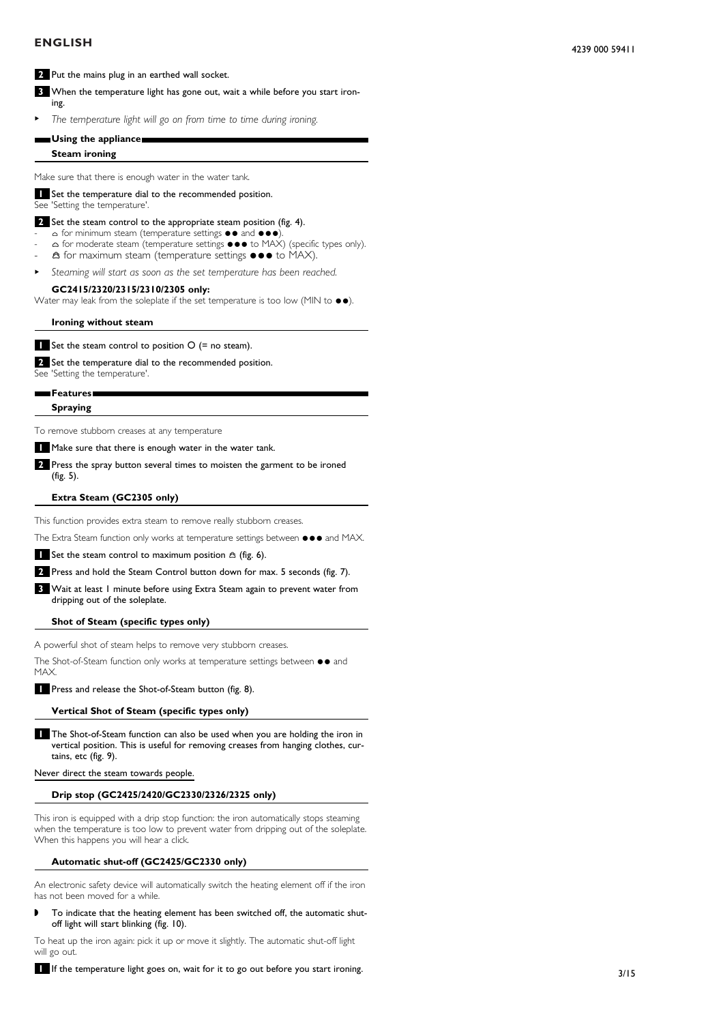## **ENGLISH**

## **2** Put the mains plug in an earthed wall socket.

**3** When the temperature light has gone out, wait a while before you start ironing.

<sup>B</sup> *The temperature light will go on from time to time during ironing.*

### **Using the appliance.**

#### **Steam ironing**

Make sure that there is enough water in the water tank.

### **1** Set the temperature dial to the recommended position.

See 'Setting the temperature'.

### **2** Set the steam control to the appropriate steam position (fig. 4).

- $\Delta$  for minimum steam (temperature settings  $\bullet \bullet$  and  $\bullet \bullet \bullet$ )
- $\Delta$  for moderate steam (temperature settings  $\bullet \bullet \bullet$  to MAX) (specific types only).  $\hat{\mathbf{a}}$  for maximum steam (temperature settings  $\bullet \bullet \bullet$  to MAX).
- <sup>B</sup> *Steaming will start as soon as the set temperature has been reached.*

### **GC2415/2320/2315/2310/2305 only:**

Water may leak from the soleplate if the set temperature is too low (MIN to  $\bullet\bullet$ ).

**Ironing without steam**

**1** Set the steam control to position O (= no steam).

**2** Set the temperature dial to the recommended position.

See 'Setting the temperature'.

## **Features.**

**Spraying**

To remove stubborn creases at any temperature

**1** Make sure that there is enough water in the water tank.

**2** Press the spray button several times to moisten the garment to be ironed (fig. 5).

### **Extra Steam (GC2305 only)**

This function provides extra steam to remove really stubborn creases.

The Extra Steam function only works at temperature settings between  $\bullet\bullet\bullet$  and MAX.

**1** Set the steam control to maximum position  $\hat{\alpha}$  (fig. 6).

**2** Press and hold the Steam Control button down for max. 5 seconds (fig. 7).

**3** Wait at least 1 minute before using Extra Steam again to prevent water from dripping out of the soleplate.

## **Shot of Steam (specific types only)**

A powerful shot of steam helps to remove very stubborn creases.

The Shot-of-Steam function only works at temperature settings between  $\bullet\bullet$  and MAX.

**1** Press and release the Shot-of-Steam button (fig. 8).

## **Vertical Shot of Steam (specific types only)**

**1** The Shot-of-Steam function can also be used when you are holding the iron in vertical position. This is useful for removing creases from hanging clothes, curtains, etc (fig. 9).

Never direct the steam towards people.

### **Drip stop (GC2425/2420/GC2330/2326/2325 only)**

This iron is equipped with a drip stop function: the iron automatically stops steaming when the temperature is too low to prevent water from dripping out of the soleplate. When this happens you will hear a click.

#### **Automatic shut-off (GC2425/GC2330 only)**

An electronic safety device will automatically switch the heating element off if the iron has not been moved for a while.

◗ To indicate that the heating element has been switched off, the automatic shutoff light will start blinking (fig. 10).

To heat up the iron again: pick it up or move it slightly. The automatic shut-off light will go out.

**1** If the temperature light goes on, wait for it to go out before you start ironing.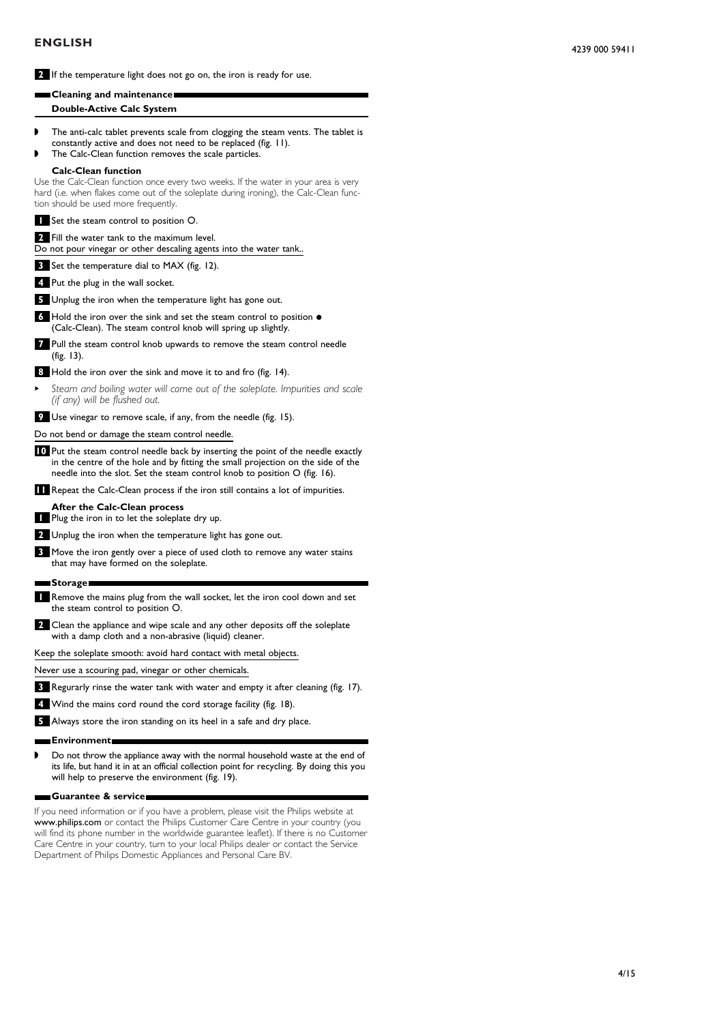**2** If the temperature light does not go on, the iron is ready for use.

| ∎Cleaning and maintenance■ |  |
|----------------------------|--|
| Double-Active Calc System  |  |

- ◗ The anti-calc tablet prevents scale from clogging the steam vents. The tablet is constantly active and does not need to be replaced (fig. 11).
- The Calc-Clean function removes the scale particles.

### **Calc-Clean function**

Use the Calc-Clean function once every two weeks. If the water in your area is very hard (i.e. when flakes come out of the soleplate during ironing), the Calc-Clean function should be used more frequently.

**1** Set the steam control to position O.

**2** Fill the water tank to the maximum level. Do not pour vinegar or other descaling agents into the water tank..

**3** Set the temperature dial to MAX (fig. 12).

**4** Put the plug in the wall socket.

**5** Unplug the iron when the temperature light has gone out.

- 6 Hold the iron over the sink and set the steam control to position  $\bullet$ (Calc-Clean). The steam control knob will spring up slightly.
- **7** Pull the steam control knob upwards to remove the steam control needle (fig. 13).

**8** Hold the iron over the sink and move it to and fro (fig. 14).

<sup>B</sup> *Steam and boiling water will come out of the soleplate. Impurities and scale (if any) will be flushed out.*

**9** Use vinegar to remove scale, if any, from the needle (fig. 15).

Do not bend or damage the steam control needle.

**10** Put the steam control needle back by inserting the point of the needle exactly in the centre of the hole and by fitting the small projection on the side of the needle into the slot. Set the steam control knob to position O (fig. 16).

**11** Repeat the Calc-Clean process if the iron still contains a lot of impurities.

- **After the Calc-Clean process**
- **1** Plug the iron in to let the soleplate dry up.
- **2** Unplug the iron when the temperature light has gone out.
- **3** Move the iron gently over a piece of used cloth to remove any water stains that may have formed on the soleplate.
- **Storage.**
- **1** Remove the mains plug from the wall socket, let the iron cool down and set the steam control to position O.
- **2** Clean the appliance and wipe scale and any other deposits off the soleplate with a damp cloth and a non-abrasive (liquid) cleaner.

Keep the soleplate smooth: avoid hard contact with metal objects.

Never use a scouring pad, vinegar or other chemicals.

- **3** Regurarly rinse the water tank with water and empty it after cleaning (fig. 17).
- **4** Wind the mains cord round the cord storage facility (fig. 18).
- **5** Always store the iron standing on its heel in a safe and dry place.

#### **Environment.**

◗ Do not throw the appliance away with the normal household waste at the end of its life, but hand it in at an official collection point for recycling. By doing this you will help to preserve the environment (fig. 19).

#### **Guarantee & service.**

If you need information or if you have a problem, please visit the Philips website at www.philips.com or contact the Philips Customer Care Centre in your country (you will find its phone number in the worldwide guarantee leaflet). If there is no Customer Care Centre in your country, turn to your local Philips dealer or contact the Service Department of Philips Domestic Appliances and Personal Care BV.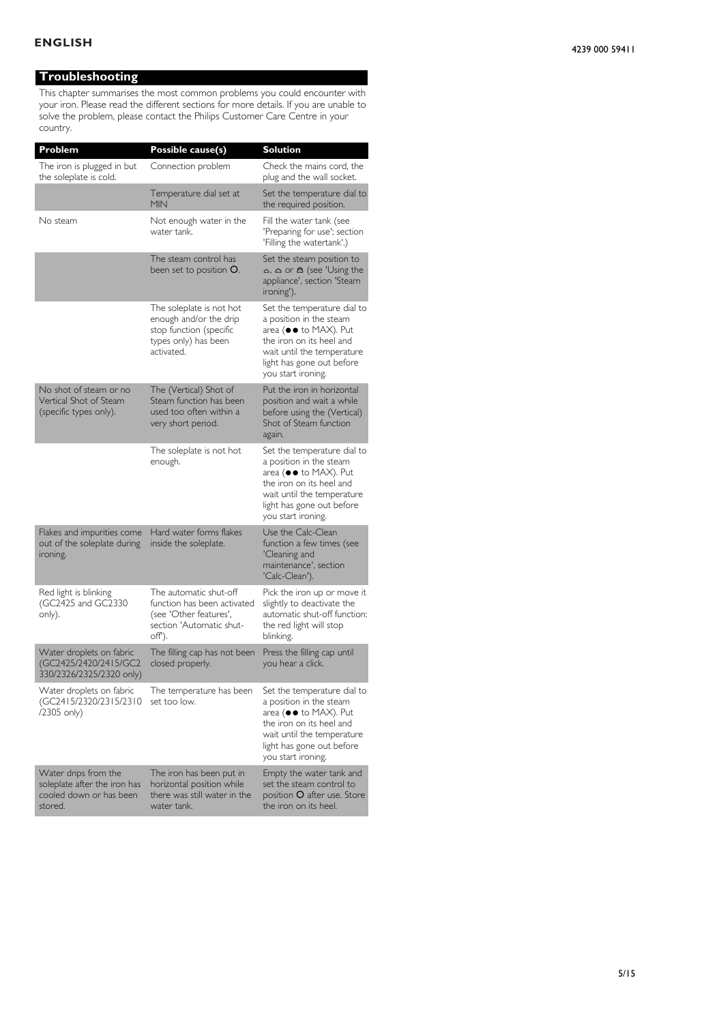## **Troubleshooting**

This chapter summarises the most common problems you could encounter with your iron. Please read the different sections for more details. If you are unable to solve the problem, please contact the Philips Customer Care Centre in your country.

| Problem                                                                                    | Possible cause(s)                                                                                                     | <b>Solution</b>                                                                                                                                                                              |
|--------------------------------------------------------------------------------------------|-----------------------------------------------------------------------------------------------------------------------|----------------------------------------------------------------------------------------------------------------------------------------------------------------------------------------------|
| The iron is plugged in but<br>the soleplate is cold.                                       | Connection problem                                                                                                    | Check the mains cord, the<br>plug and the wall socket.                                                                                                                                       |
|                                                                                            | Temperature dial set at<br><b>MIN</b>                                                                                 | Set the temperature dial to<br>the required position.                                                                                                                                        |
| No steam                                                                                   | Not enough water in the<br>water tank.                                                                                | Fill the water tank (see<br>'Preparing for use'; section<br>'Filling the watertank'.)                                                                                                        |
|                                                                                            | The steam control has<br>been set to position O.                                                                      | Set the steam position to<br>$\Delta$ , $\Delta$ or $\Delta$ (see 'Using the<br>appliance', section 'Steam<br>ironing').                                                                     |
|                                                                                            | The soleplate is not hot<br>enough and/or the drip<br>stop function (specific<br>types only) has been<br>activated.   | Set the temperature dial to<br>a position in the steam<br>area (●● to MAX). Put<br>the iron on its heel and<br>wait until the temperature<br>light has gone out before<br>you start ironing. |
| No shot of steam or no<br>Vertical Shot of Steam<br>(specific types only).                 | The (Vertical) Shot of<br>Steam function has been<br>used too often within a<br>very short period.                    | Put the iron in horizontal<br>position and wait a while<br>before using the (Vertical)<br>Shot of Steam function<br>again.                                                                   |
|                                                                                            | The soleplate is not hot<br>enough.                                                                                   | Set the temperature dial to<br>a position in the steam<br>area (●● to MAX). Put<br>the iron on its heel and<br>wait until the temperature<br>light has gone out before<br>you start ironing. |
| Flakes and impurities come<br>out of the soleplate during<br>ironing.                      | Hard water forms flakes<br>inside the soleplate.                                                                      | Use the Calc-Clean<br>function a few times (see<br>'Cleaning and<br>maintenance', section<br>'Calc-Clean').                                                                                  |
| Red light is blinking<br>(GC2425 and GC2330<br>only).                                      | The automatic shut-off<br>function has been activated<br>(see 'Other features'.<br>section 'Automatic shut-<br>off'). | Pick the iron up or move it<br>slightly to deactivate the<br>automatic shut-off function:<br>the red light will stop<br>blinking.                                                            |
| Water droplets on fabric<br>(GC2425/2420/2415/GC2<br>330/2326/2325/2320 only)              | The filling cap has not been<br>closed properly.                                                                      | Press the filling cap until<br>you hear a click.                                                                                                                                             |
| Water droplets on fabric<br>(GC2415/2320/2315/2310<br>/2305 only)                          | The temperature has been<br>set too low.                                                                              | Set the temperature dial to<br>a position in the steam<br>area (●● to MAX). Put<br>the iron on its heel and<br>wait until the temperature<br>light has gone out before<br>you start ironing. |
| Water drips from the<br>soleplate after the iron has<br>cooled down or has been<br>stored. | The iron has been put in<br>horizontal position while<br>there was still water in the<br>water tank.                  | Empty the water tank and<br>set the steam control to<br>position O after use. Store<br>the iron on its heel.                                                                                 |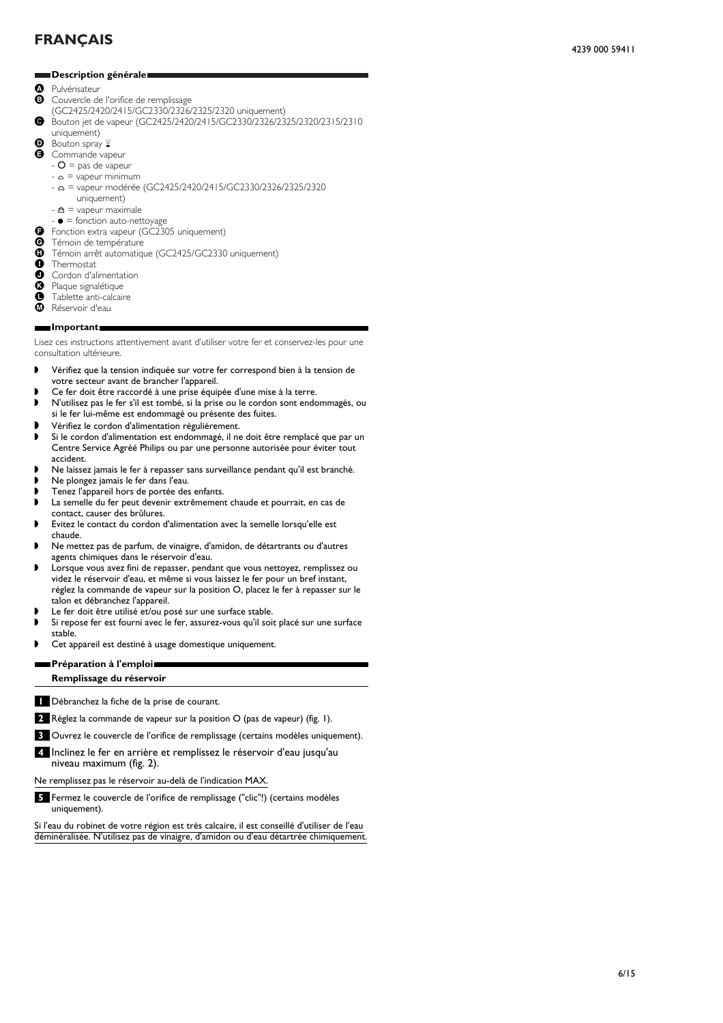## <span id="page-5-0"></span>**Description générale.**

- **O** Pulvérisateur<br>**B** Couvercle de
- Couvercle de l'orifice de remplissage
- (GC2425/2420/2415/GC2330/2326/2325/2320 uniquement)
- C Bouton jet de vapeur (GC2425/2420/2415/GC2330/2326/2325/2320/2315/2310 uniquement)
- **D** Bouton spray  $\mathbb{Z}$
- **B** Commande vapeur
	- $-$  O = pas de vapeur
	- $\alpha$  = vapeur minimum
	- $\alpha$  = vapeur modérée (GC2425/2420/2415/GC2330/2326/2325/2320
		- uniquement)
	- $\mathbf{\triangle}$  = vapeur maximale
	- $\bullet$  = fonction auto-nettoyage
- **G** Fonction extra vapeur ( $G\overline{C}$ 2305 uniquement)<br> **G** Témoin de température
- **G** Témoin de température<br>**G** Témoin arrêt automatique
- **O** Témoin arrêt automatique (GC2425/GC2330 uniquement)
- **O** Thermostat<br>**O** Cordon d'al
- **O** Cordon d'alimentation<br><sup> **O** Plaque signalétique</sup>
- <sup>8</sup> Plaque signalétique<br><sup>8</sup> Tablette anti-calcair
- **O** Tablette anti-calcaire
- Réservoir d'eau

#### **Important.**

Lisez ces instructions attentivement avant d'utiliser votre fer et conservez-les pour une consultation ultérieure.

- ◗ Vérifiez que la tension indiquée sur votre fer correspond bien à la tension de votre secteur avant de brancher l'appareil.
- ◗ Ce fer doit être raccordé à une prise équipée d'une mise à la terre.
- ◗ N'utilisez pas le fer s'il est tombé, si la prise ou le cordon sont endommagés, ou si le fer lui-même est endommagé ou présente des fuites.
- ◗ Vérifiez le cordon d'alimentation régulièrement.
- Si le cordon d'alimentation est endommagé, il ne doit être remplacé que par un Centre Service Agréé Philips ou par une personne autorisée pour éviter tout accident.
- ◗ Ne laissez jamais le fer à repasser sans surveillance pendant qu'il est branché.
- ◗ Ne plongez jamais le fer dans l'eau.
- ◗ Tenez l'appareil hors de portée des enfants.
- La semelle du fer peut devenir extrêmement chaude et pourrait, en cas de
- contact, causer des brûlures. ◗ Evitez le contact du cordon d'alimentation avec la semelle lorsqu'elle est
- chaude.
- ◗ Ne mettez pas de parfum, de vinaigre, d'amidon, de détartrants ou d'autres agents chimiques dans le réservoir d'eau.
- ◗ Lorsque vous avez fini de repasser, pendant que vous nettoyez, remplissez ou videz le réservoir d'eau, et même si vous laissez le fer pour un bref instant, réglez la commande de vapeur sur la position O, placez le fer à repasser sur le talon et débranchez l'appareil.
- Le fer doit être utilisé et/ou posé sur une surface stable.
- Si repose fer est fourni avec le fer, assurez-vous qu'il soit placé sur une surface stable.
- ◗ Cet appareil est destiné à usage domestique uniquement.

### **Préparation à l'emploi. Remplissage du réservoir**

**1** Débranchez la fiche de la prise de courant.

**2** Réglez la commande de vapeur sur la position O (pas de vapeur) (fig. 1).

- **3** Ouvrez le couvercle de l'orifice de remplissage (certains modèles uniquement).
- **4** Inclinez le fer en arrière et remplissez le réservoir d'eau jusqu'au niveau maximum (fig. 2).

Ne remplissez pas le réservoir au-delà de l'indication MAX.

**5** Fermez le couvercle de l'orifice de remplissage ("clic"!) (certains modèles uniquement).

Si l'eau du robinet de votre région est très calcaire, il est conseillé d'utiliser de l'eau déminéralisée. N'utilisez pas de vinaigre, d'amidon ou d'eau détartrée chimiquement.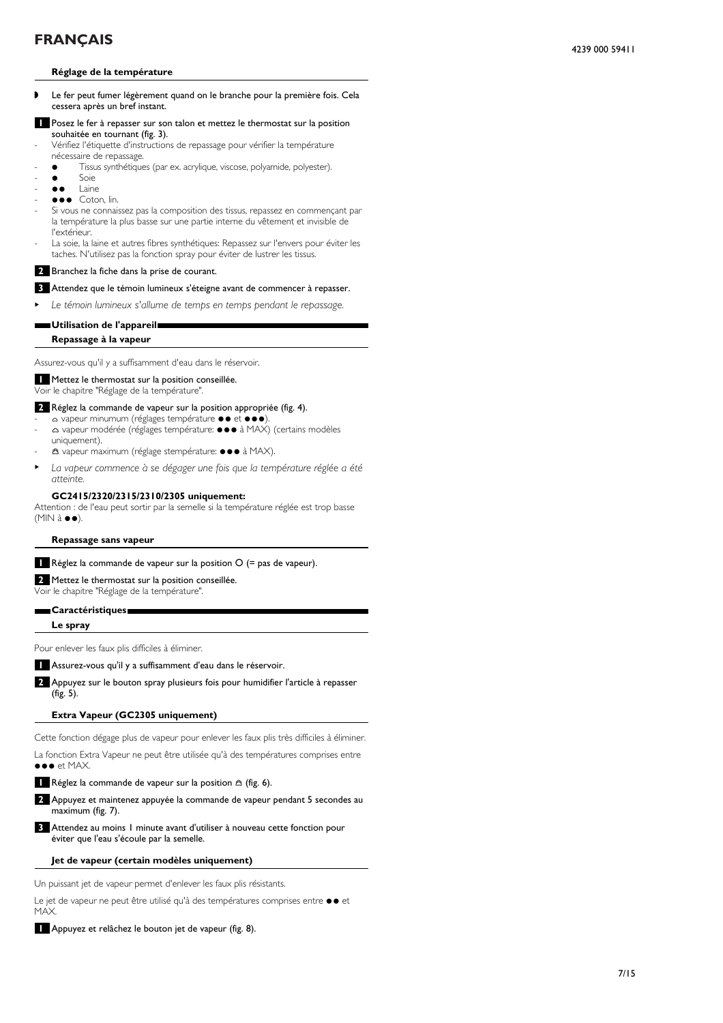### **Réglage de la température**

- ◗ Le fer peut fumer légèrement quand on le branche pour la première fois. Cela cessera après un bref instant.
- **1** Posez le fer à repasser sur son talon et mettez le thermostat sur la position souhaitée en tournant (fig. 3).
- Vérifiez l'étiquette d'instructions de repassage pour vérifier la température nécessaire de repassage.
	- Tissus synthétiques (par ex. acrylique, viscose, polyamide, polyester).
- $\bullet$  Soie
- $\bullet$   $\bullet$   $\quad$  Laine
- $\bullet \bullet \bullet$  Coton, lin.
- Si vous ne connaissez pas la composition des tissus, repassez en commençant par la température la plus basse sur une partie interne du vêtement et invisible de l'extérieur.
- La soie, la laine et autres fibres synthétiques: Repassez sur l'envers pour éviter les taches. N'utilisez pas la fonction spray pour éviter de lustrer les tissus.

## **2** Branchez la fiche dans la prise de courant.

#### **3** Attendez que le témoin lumineux s'éteigne avant de commencer à repasser.

Le témoin lumineux s'allume de temps en temps pendant le repassage.

## **Utilisation de l'appareil.**

**Repassage à la vapeur**

Assurez-vous qu'il y a suffisamment d'eau dans le réservoir.

**1** Mettez le thermostat sur la position conseillée.

Voir le chapitre "Réglage de la température".

#### **2** Réglez la commande de vapeur sur la position appropriée (fig. 4).

- A vapeur minumum (réglages température  $\bullet \bullet \bullet \bullet \bullet$ ) △ vapeur modérée (réglages température:  $\bullet\bullet\bullet$  à MAX) (certains modèles uniquement).
- **A** vapeur maximum (réglage stempérature: ●●● à MAX).
- <sup>B</sup> *La vapeur commence à se dégager une fois que la température réglée a été atteinte.*

#### **GC2415/2320/2315/2310/2305 uniquement:**

Attention : de l'eau peut sortir par la semelle si la température réglée est trop basse  $(MIN \land \bullet \bullet).$ 

#### **Repassage sans vapeur**

**1** Réglez la commande de vapeur sur la position O (= pas de vapeur).

**2** Mettez le thermostat sur la position conseillée. Voir le chapitre "Réglage de la température".

#### **Caractéristiques.**

#### **Le spray**

Pour enlever les faux plis difficiles à éliminer.

**1** Assurez-vous qu'il y a suffisamment d'eau dans le réservoir.

**2** Appuyez sur le bouton spray plusieurs fois pour humidifier l'article à repasser (fig. 5).

#### **Extra Vapeur (GC2305 uniquement)**

Cette fonction dégage plus de vapeur pour enlever les faux plis très difficiles à éliminer.

La fonction Extra Vapeur ne peut être utilisée qu'à des températures comprises entre  $\bullet\bullet\bullet\bullet$  MAX.

**1** Réglez la commande de vapeur sur la position  $\triangle$  (fig. 6).

- **2** Appuyez et maintenez appuyée la commande de vapeur pendant 5 secondes au maximum (fig. 7).
- **3** Attendez au moins 1 minute avant d'utiliser à nouveau cette fonction pour éviter que l'eau s'écoule par la semelle.

#### **Jet de vapeur (certain modèles uniquement)**

Un puissant jet de vapeur permet d'enlever les faux plis résistants.

Le jet de vapeur ne peut être utilisé qu'à des températures comprises entre  $\bullet \bullet$  et MAX.

#### **1** Appuyez et relâchez le bouton jet de vapeur (fig. 8).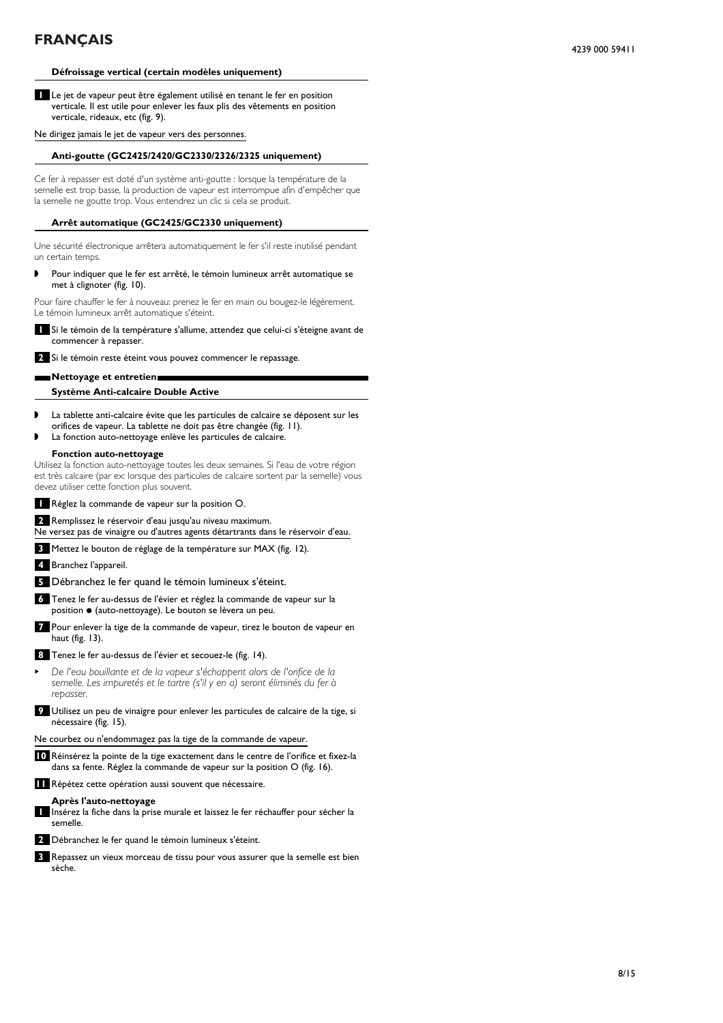## **Défroissage vertical (certain modèles uniquement)**

**1** Le jet de vapeur peut être également utilisé en tenant le fer en position verticale. Il est utile pour enlever les faux plis des vêtements en position verticale, rideaux, etc (fig. 9).

Ne dirigez jamais le jet de vapeur vers des personnes.

## **Anti-goutte (GC2425/2420/GC2330/2326/2325 uniquement)**

Ce fer à repasser est doté d'un système anti-goutte : lorsque la température de la semelle est trop basse, la production de vapeur est interrompue afin d'empêcher que la semelle ne goutte trop. Vous entendrez un clic si cela se produit.

## **Arrêt automatique (GC2425/GC2330 uniquement)**

Une sécurité électronique arrêtera automatiquement le fer s'il reste inutilisé pendant un certain temps.

◗ Pour indiquer que le fer est arrêté, le témoin lumineux arrêt automatique se met à clignoter (fig. 10).

Pour faire chauffer le fer à nouveau: prenez le fer en main ou bougez-le légèrement. Le témoin lumineux arrêt automatique s'éteint.

**1** Si le témoin de la température s'allume, attendez que celui-ci s'éteigne avant de commencer à repasser.

**2** Si le témoin reste éteint vous pouvez commencer le repassage.

## **Nettoyage et entretien.**

## **Système Anti-calcaire Double Active**

- ◗ La tablette anti-calcaire évite que les particules de calcaire se déposent sur les orifices de vapeur. La tablette ne doit pas être changée (fig. 11).
- La fonction auto-nettoyage enlève les particules de calcaire.

## **Fonction auto-nettoyage**

Utilisez la fonction auto-nettoyage toutes les deux semaines. Si l'eau de votre région est très calcaire (par ex: lorsque des particules de calcaire sortent par la semelle) vous devez utiliser cette fonction plus souvent.

**1** Réglez la commande de vapeur sur la position O.

```
2 Remplissez le réservoir d'eau jusqu'au niveau maximum.
```
Ne versez pas de vinaigre ou d'autres agents détartrants dans le réservoir d'eau.

**3** Mettez le bouton de réglage de la température sur MAX (fig. 12).

**4** Branchez l'appareil.

**5** Débranchez le fer quand le témoin lumineux s'éteint.

- **6** Tenez le fer au-dessus de l'évier et réglez la commande de vapeur sur la position  $\bullet$  (auto-nettoyage). Le bouton se lèvera un peu.
- **7** Pour enlever la tige de la commande de vapeur, tirez le bouton de vapeur en haut (fig. 13).
- **8** Tenez le fer au-dessus de l'évier et secouez-le (fig. 14).
- <sup>B</sup> *De l'eau bouillante et de la vapeur s'échappent alors de l'orifice de la semelle. Les impuretés et le tartre (s'il y en a) seront éliminés du fer à repasser.*
- **9** Utilisez un peu de vinaigre pour enlever les particules de calcaire de la tige, si nécessaire (fig. 15).

Ne courbez ou n'endommagez pas la tige de la commande de vapeur.

- **10** Réinsérez la pointe de la tige exactement dans le centre de l'orifice et fixez-la dans sa fente. Réglez la commande de vapeur sur la position O (fig. 16).
- **11** Répétez cette opération aussi souvent que nécessaire.

## **Après l'auto-nettoyage**

**1** Insérez la fiche dans la prise murale et laissez le fer réchauffer pour sécher la semelle.

**2** Débranchez le fer quand le témoin lumineux s'éteint.

**3** Repassez un vieux morceau de tissu pour vous assurer que la semelle est bien sèche.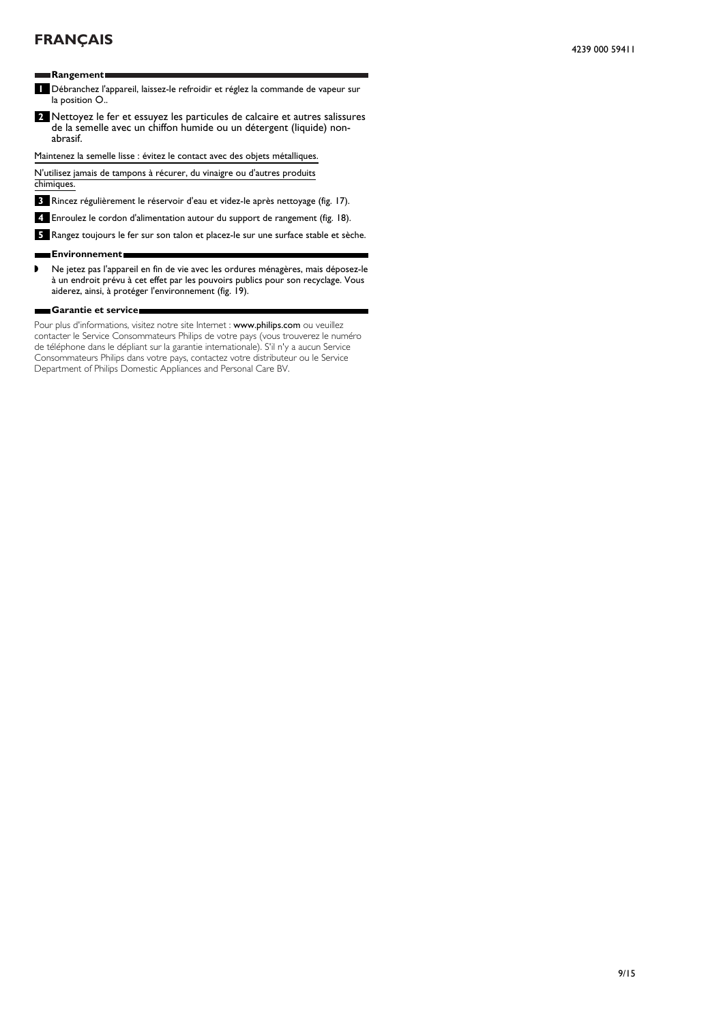**Rangement.**

### **1** Débranchez l'appareil, laissez-le refroidir et réglez la commande de vapeur sur la position O..

**2** Nettoyez le fer et essuyez les particules de calcaire et autres salissures de la semelle avec un chiffon humide ou un détergent (liquide) nonabrasif.

Maintenez la semelle lisse : évitez le contact avec des objets métalliques.

N'utilisez jamais de tampons à récurer, du vinaigre ou d'autres produits chimiques.

**3** Rincez régulièrement le réservoir d'eau et videz-le après nettoyage (fig. 17).

**4** Enroulez le cordon d'alimentation autour du support de rangement (fig. 18).

**5** Rangez toujours le fer sur son talon et placez-le sur une surface stable et sèche.

#### **Environnement.** н

◗ Ne jetez pas l'appareil en fin de vie avec les ordures ménagères, mais déposez-le à un endroit prévu à cet effet par les pouvoirs publics pour son recyclage. Vous aiderez, ainsi, à protéger l'environnement (fig. 19).

#### **Garantie et service.**

Pour plus d'informations, visitez notre site Internet : www.philips.com ou veuillez contacter le Service Consommateurs Philips de votre pays (vous trouverez le numéro de téléphone dans le dépliant sur la garantie internationale). S'il n'y a aucun Service Consommateurs Philips dans votre pays, contactez votre distributeur ou le Service Department of Philips Domestic Appliances and Personal Care BV.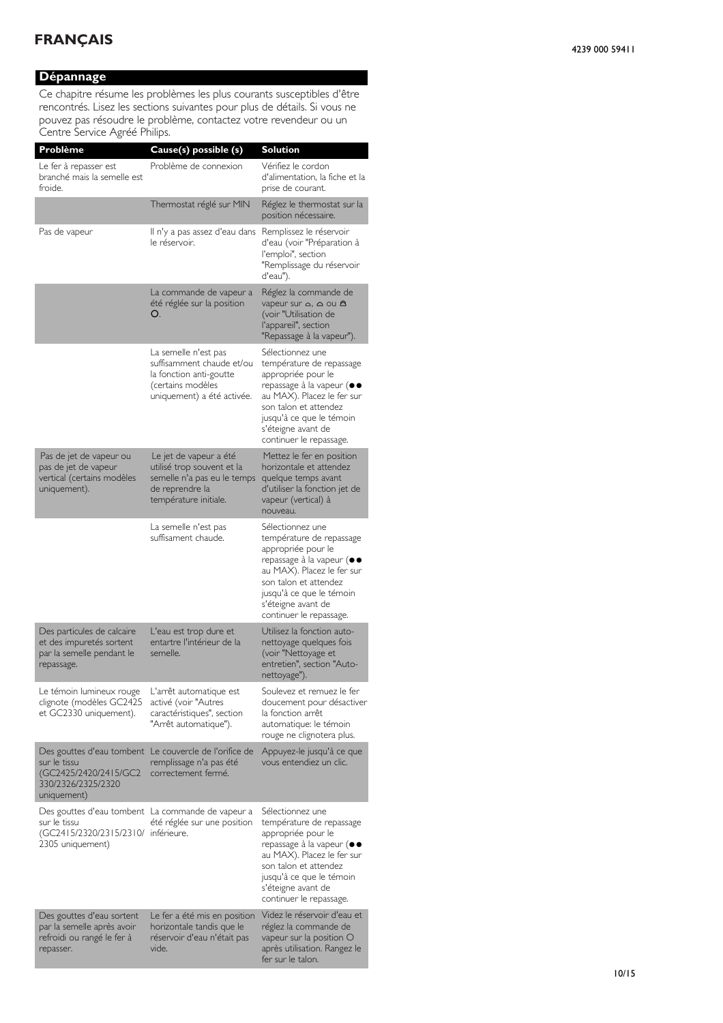## **Dépannage**

Ce chapitre résume les problèmes les plus courants susceptibles d'être rencontrés. Lisez les sections suivantes pour plus de détails. Si vous ne pouvez pas résoudre le problème, contactez votre revendeur ou un Centre Service Agréé Philips.

| Problème                                                                                                | Cause(s) possible (s)                                                                                                           | <b>Solution</b>                                                                                                                                                                                                                     |
|---------------------------------------------------------------------------------------------------------|---------------------------------------------------------------------------------------------------------------------------------|-------------------------------------------------------------------------------------------------------------------------------------------------------------------------------------------------------------------------------------|
| Le fer à repasser est<br>branché mais la semelle est<br>froide.                                         | Problème de connexion                                                                                                           | Vérifiez le cordon<br>d'alimentation. la fiche et la<br>prise de courant.                                                                                                                                                           |
|                                                                                                         | Thermostat réglé sur MIN                                                                                                        | Réglez le thermostat sur la<br>position nécessaire.                                                                                                                                                                                 |
| Pas de vapeur                                                                                           | Il n'y a pas assez d'eau dans<br>le réservoir.                                                                                  | Remplissez le réservoir<br>d'eau (voir "Préparation à<br>l'emploi", section<br>"Remplissage du réservoir<br>d'eau").                                                                                                                |
|                                                                                                         | La commande de vapeur a<br>été réglée sur la position<br>O.                                                                     | Réglez la commande de<br>vapeur sur a, a ou a<br>(voir "Utilisation de<br>l'appareil", section<br>"Repassage à la vapeur").                                                                                                         |
|                                                                                                         | La semelle n'est pas<br>suffisamment chaude et/ou<br>la fonction anti-goutte<br>(certains modèles<br>uniquement) a été activée. | Sélectionnez une<br>température de repassage<br>appropriée pour le<br>repassage à la vapeur (●●<br>au MAX). Placez le fer sur<br>son talon et attendez<br>jusqu'à ce que le témoin<br>s'éteigne avant de<br>continuer le repassage. |
| Pas de jet de vapeur ou<br>pas de jet de vapeur<br>vertical (certains modèles<br>uniquement).           | Le jet de vapeur a été<br>utilisé trop souvent et la<br>semelle n'a pas eu le temps<br>de reprendre la<br>température initiale. | Mettez le fer en position<br>horizontale et attendez<br>quelque temps avant<br>d'utiliser la fonction jet de<br>vapeur (vertical) à<br>nouveau.                                                                                     |
|                                                                                                         | La semelle n'est pas<br>suffisament chaude.                                                                                     | Sélectionnez une<br>température de repassage<br>appropriée pour le<br>repassage à la vapeur (●●<br>au MAX). Placez le fer sur<br>son talon et attendez<br>jusqu'à ce que le témoin<br>s'éteigne avant de<br>continuer le repassage. |
| Des particules de calcaire<br>et des impuretés sortent<br>par la semelle pendant le<br>repassage.       | L'eau est trop dure et<br>entartre l'intérieur de la<br>semelle.                                                                | Utilisez la fonction auto-<br>nettoyage quelques fois<br>(voir "Nettoyage et<br>entretien", section "Auto-<br>nettoyage").                                                                                                          |
| Le témoin lumineux rouge<br>clignote (modèles GC2425<br>et GC2330 uniquement).                          | L'arrêt automatique est<br>activé (voir "Autres<br>caractéristiques", section<br>"Arrêt automatique").                          | Soulevez et remuez le fer<br>doucement pour désactiver<br>la fonction arrêt<br>automatique: le témoin<br>rouge ne clignotera plus.                                                                                                  |
| Des gouttes d'eau tombent<br>sur le tissu<br>(GC2425/2420/2415/GC2<br>330/2326/2325/2320<br>uniquement) | Le couvercle de l'orifice de<br>remplissage n'a pas été<br>correctement fermé.                                                  | Appuyez-le jusqu'à ce que<br>vous entendiez un clic.                                                                                                                                                                                |
| sur le tissu<br>(GC2415/2320/2315/2310/ inférieure.<br>2305 uniquement)                                 | Des gouttes d'eau tombent La commande de vapeur a<br>été réglée sur une position                                                | Sélectionnez une<br>température de repassage<br>appropriée pour le<br>repassage à la vapeur (●●<br>au MAX). Placez le fer sur<br>son talon et attendez<br>jusqu'à ce que le témoin<br>s'éteigne avant de<br>continuer le repassage. |
| Des gouttes d'eau sortent<br>par la semelle après avoir<br>refroidi ou rangé le fer à<br>repasser.      | Le fer a été mis en position<br>horizontale tandis que le<br>réservoir d'eau n'était pas<br>vide.                               | Videz le réservoir d'eau et<br>réglez la commande de<br>vapeur sur la position O<br>après utilisation. Rangez le<br>fer sur le talon.                                                                                               |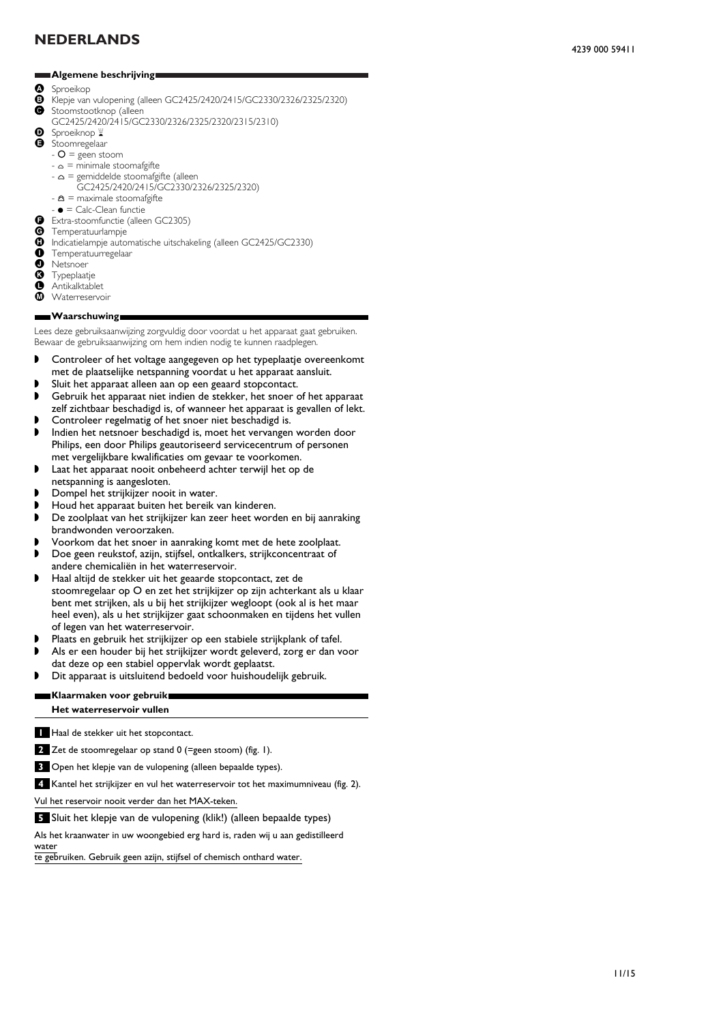### <span id="page-10-0"></span>**Algemene beschrijving.**

- **O** Sproeikop<br>**B** Klenie van
- $\bullet$  Klepje van vulopening (alleen GC2425/2420/2415/GC2330/2326/2325/2320)<br>  $\bullet$  Stoomstootknop (alleen
- Stoomstootknop (alleen GC2425/2420/2415/GC2330/2326/2325/2320/2315/2310)
- **D** Sproeiknop  $\mathbb{Z}$
- E Stoomregelaar
	-
	- $O =$  geen stoom
	- $\Delta$  = minimale stoomafgifte
	- $\Delta$  = gemiddelde stoomafgifte (alleen
	- GC2425/2420/2415/GC2330/2326/2325/2320) -  $\mathbf{\triangle}$  = maximale stoomafgifte
	- $\bullet$  = Calc-Clean functie
	-
- G Extra-stoomfunctie (alleen GC2305)<br>G Temperatuurlampie
- **G** Temperatuurlampje<br>**G** Indicatielampie auto
- **⊕** Indicatielampje automatische uitschakeling (alleen GC2425/GC2330)<br>● Temperatuurregelaar
- **O** Temperatuurregelaar
- **O** Netsnoer<br>**G** Typeplaat
- **G** Typeplaatje<br>**O** Antikalktabl
- **O** Antikalktablet Waterreservoir
- 

## **Waarschuwing.**

Lees deze gebruiksaanwijzing zorgvuldig door voordat u het apparaat gaat gebruiken. Bewaar de gebruiksaanwijzing om hem indien nodig te kunnen raadplegen.

- ◗ Controleer of het voltage aangegeven op het typeplaatje overeenkomt met de plaatselijke netspanning voordat u het apparaat aansluit.
- Sluit het apparaat alleen aan op een geaard stopcontact.
- ◗ Gebruik het apparaat niet indien de stekker, het snoer of het apparaat zelf zichtbaar beschadigd is, of wanneer het apparaat is gevallen of lekt.
- ◗ Controleer regelmatig of het snoer niet beschadigd is.
- ◗ Indien het netsnoer beschadigd is, moet het vervangen worden door Philips, een door Philips geautoriseerd servicecentrum of personen met vergelijkbare kwalificaties om gevaar te voorkomen.
- ◗ Laat het apparaat nooit onbeheerd achter terwijl het op de netspanning is aangesloten.
- ◗ Dompel het strijkijzer nooit in water.
- ◗ Houd het apparaat buiten het bereik van kinderen.
- ◗ De zoolplaat van het strijkijzer kan zeer heet worden en bij aanraking brandwonden veroorzaken.
- ◗ Voorkom dat het snoer in aanraking komt met de hete zoolplaat.
- ◗ Doe geen reukstof, azijn, stijfsel, ontkalkers, strijkconcentraat of andere chemicaliën in het waterreservoir.
- ◗ Haal altijd de stekker uit het geaarde stopcontact, zet de stoomregelaar op O en zet het strijkijzer op zijn achterkant als u klaar bent met strijken, als u bij het strijkijzer wegloopt (ook al is het maar heel even), als u het strijkijzer gaat schoonmaken en tijdens het vullen of legen van het waterreservoir.
- ◗ Plaats en gebruik het strijkijzer op een stabiele strijkplank of tafel.
- ◗ Als er een houder bij het strijkijzer wordt geleverd, zorg er dan voor dat deze op een stabiel oppervlak wordt geplaatst.
- ◗ Dit apparaat is uitsluitend bedoeld voor huishoudelijk gebruik.

## **Klaarmaken voor gebruik.**

## **Het waterreservoir vullen**

**1** Haal de stekker uit het stopcontact.

**2** Zet de stoomregelaar op stand 0 (=geen stoom) (fig. 1).

- **3** Open het klepje van de vulopening (alleen bepaalde types).
- **4** Kantel het strijkijzer en vul het waterreservoir tot het maximumniveau (fig. 2).

Vul het reservoir nooit verder dan het MAX-teken.

**5** Sluit het klepje van de vulopening (klik!) (alleen bepaalde types)

Als het kraanwater in uw woongebied erg hard is, raden wij u aan gedistilleerd water

te gebruiken. Gebruik geen azijn, stijfsel of chemisch onthard water.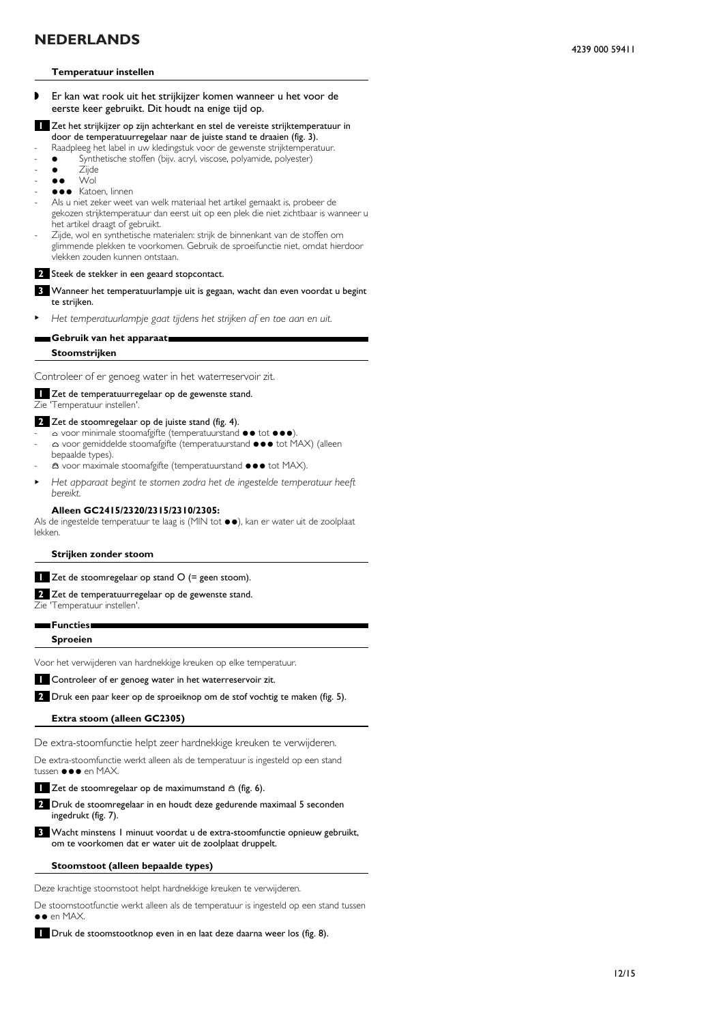### **Temperatuur instellen**

- ◗ Er kan wat rook uit het strijkijzer komen wanneer u het voor de eerste keer gebruikt. Dit houdt na enige tijd op.
- **1** Zet het strijkijzer op zijn achterkant en stel de vereiste strijktemperatuur in door de temperatuurregelaar naar de juiste stand te draaien (fig. 3).
- Raadpleeg het label in uw kledingstuk voor de gewenste strijktemperatuur.
- Synthetische stoffen (bijv. acryl, viscose, polyamide, polyester)
- Zijde
- $\bullet \bullet$  Wol
- $\bullet \bullet \bullet$  Katoen, linnen
- Als u niet zeker weet van welk materiaal het artikel gemaakt is, probeer de gekozen strijktemperatuur dan eerst uit op een plek die niet zichtbaar is wanneer u het artikel draagt of gebruikt.
- Zijde, wol en synthetische materialen: strijk de binnenkant van de stoffen om glimmende plekken te voorkomen. Gebruik de sproeifunctie niet, omdat hierdoor vlekken zouden kunnen ontstaan.

#### **2** Steek de stekker in een geaard stopcontact.

- **3** Wanneer het temperatuurlampje uit is gegaan, wacht dan even voordat u begint te strijken.
- <sup>B</sup> *Het temperatuurlampje gaat tijdens het strijken af en toe aan en uit.*

## **Gebruik van het apparaat.**

**Stoomstrijken**

Controleer of er genoeg water in het waterreservoir zit.

## **1** Zet de temperatuurregelaar op de gewenste stand.

Zie 'Temperatuur instellen'.

- **2** Zet de stoomregelaar op de juiste stand (fig. 4).
- A voor minimale stoomafgifte (temperatuurstand  $\bullet \bullet$  tot  $\bullet \bullet \bullet$ ). △ voor gemiddelde stoomafgifte (temperatuurstand ●●● tot MAX) (alleen
- bepaalde types).  $\triangle$  voor maximale stoomafgifte (temperatuurstand  $\bullet \bullet \bullet$  tot MAX).
- <sup>B</sup> *Het apparaat begint te stomen zodra het de ingestelde temperatuur heeft bereikt.*

#### **Alleen GC2415/2320/2315/2310/2305:**

Als de ingestelde temperatuur te laag is (MIN tot  $\bullet\bullet$ ), kan er water uit de zoolplaat lekken.

**Strijken zonder stoom**

**1** Zet de stoomregelaar op stand O (= geen stoom).

**2** Zet de temperatuurregelaar op de gewenste stand.

Zie 'Temperatuur instellen'.

**Functies.**

**Sproeien**

Voor het verwijderen van hardnekkige kreuken op elke temperatuur.

**1** Controleer of er genoeg water in het waterreservoir zit.

**2** Druk een paar keer op de sproeiknop om de stof vochtig te maken (fig. 5).

### **Extra stoom (alleen GC2305)**

De extra-stoomfunctie helpt zeer hardnekkige kreuken te verwijderen.

De extra-stoomfunctie werkt alleen als de temperatuur is ingesteld op een stand tussen ●●● en MAX.

**1** Zet de stoomregelaar op de maximumstand  $\triangle$  (fig. 6).

**2** Druk de stoomregelaar in en houdt deze gedurende maximaal 5 seconden ingedrukt (fig. 7).

**3** Wacht minstens 1 minuut voordat u de extra-stoomfunctie opnieuw gebruikt, om te voorkomen dat er water uit de zoolplaat druppelt.

#### **Stoomstoot (alleen bepaalde types)**

Deze krachtige stoomstoot helpt hardnekkige kreuken te verwijderen.

De stoomstootfunctie werkt alleen als de temperatuur is ingesteld op een stand tussen  $\bullet \bullet$  en MAX.

**1** Druk de stoomstootknop even in en laat deze daarna weer los (fig. 8).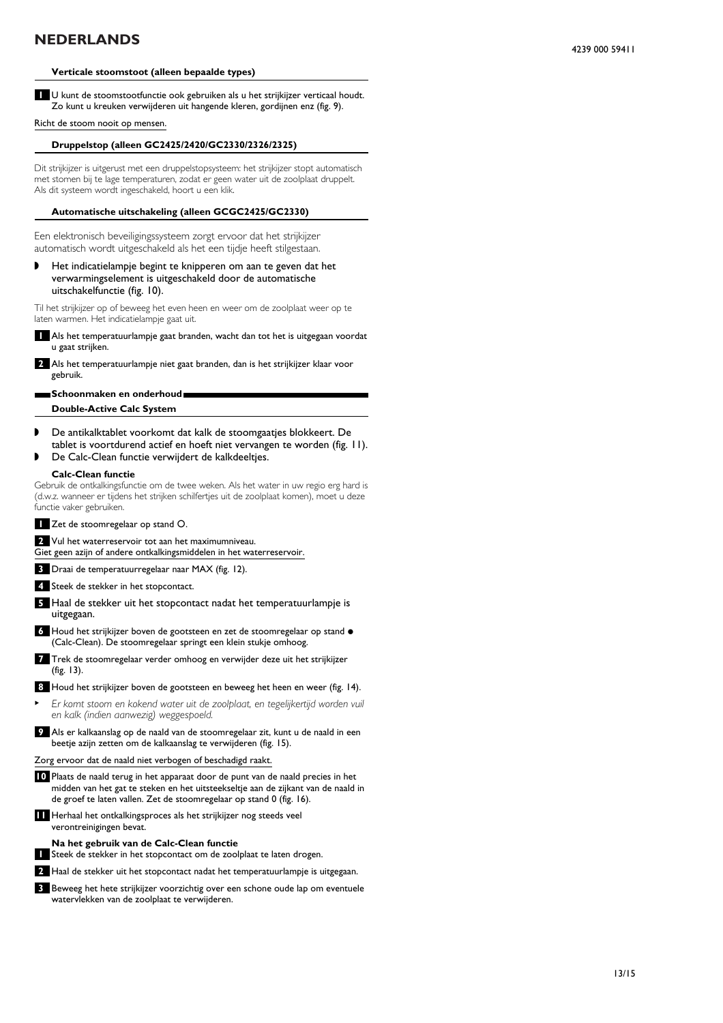## **Verticale stoomstoot (alleen bepaalde types)**

**1** U kunt de stoomstootfunctie ook gebruiken als u het strijkijzer verticaal houdt. Zo kunt u kreuken verwijderen uit hangende kleren, gordijnen enz (fig. 9).

Richt de stoom nooit op mensen.

## **Druppelstop (alleen GC2425/2420/GC2330/2326/2325)**

Dit strijkijzer is uitgerust met een druppelstopsysteem: het strijkijzer stopt automatisch met stomen bij te lage temperaturen, zodat er geen water uit de zoolplaat druppelt. Als dit systeem wordt ingeschakeld, hoort u een klik.

#### **Automatische uitschakeling (alleen GCGC2425/GC2330)**

Een elektronisch beveiligingssysteem zorgt ervoor dat het strijkijzer automatisch wordt uitgeschakeld als het een tijdje heeft stilgestaan.

◗ Het indicatielampje begint te knipperen om aan te geven dat het verwarmingselement is uitgeschakeld door de automatische uitschakelfunctie (fig. 10).

Til het strijkijzer op of beweeg het even heen en weer om de zoolplaat weer op te laten warmen. Het indicatielampje gaat uit.

**1** Als het temperatuurlampje gaat branden, wacht dan tot het is uitgegaan voordat u gaat strijken.

**2** Als het temperatuurlampje niet gaat branden, dan is het strijkijzer klaar voor gebruik.

## **Schoonmaken en onderhoud.**

**Double-Active Calc System**

- ◗ De antikalktablet voorkomt dat kalk de stoomgaatjes blokkeert. De tablet is voortdurend actief en hoeft niet vervangen te worden (fig. 11).
- ◗ De Calc-Clean functie verwijdert de kalkdeeltjes.

### **Calc-Clean functie**

Gebruik de ontkalkingsfunctie om de twee weken. Als het water in uw regio erg hard is (d.w.z. wanneer er tijdens het strijken schilfertjes uit de zoolplaat komen), moet u deze functie vaker gebruiken.

- **1** Zet de stoomregelaar op stand O.
- **2** Vul het waterreservoir tot aan het maximumniveau.

Giet geen azijn of andere ontkalkingsmiddelen in het waterreservoir.

- **3** Draai de temperatuurregelaar naar MAX (fig. 12).
- **4** Steek de stekker in het stopcontact.
- **5** Haal de stekker uit het stopcontact nadat het temperatuurlampje is uitgegaan.
- **6** Houd het strijkijzer boven de gootsteen en zet de stoomregelaar op stand  $\bullet$ (Calc-Clean). De stoomregelaar springt een klein stukje omhoog.
- **7** Trek de stoomregelaar verder omhoog en verwijder deze uit het strijkijzer (fig. 13).
- **8** Houd het strijkijzer boven de gootsteen en beweeg het heen en weer (fig. 14).
- <sup>B</sup> *Er komt stoom en kokend water uit de zoolplaat, en tegelijkertijd worden vuil en kalk (indien aanwezig) weggespoeld.*
- **9** Als er kalkaanslag op de naald van de stoomregelaar zit, kunt u de naald in een beetje azijn zetten om de kalkaanslag te verwijderen (fig. 15).

Zorg ervoor dat de naald niet verbogen of beschadigd raakt.

- **10** Plaats de naald terug in het apparaat door de punt van de naald precies in het midden van het gat te steken en het uitsteekseltje aan de zijkant van de naald in de groef te laten vallen. Zet de stoomregelaar op stand 0 (fig. 16).
- **11** Herhaal het ontkalkingsproces als het strijkijzer nog steeds veel verontreinigingen bevat.

#### **Na het gebruik van de Calc-Clean functie**

**1** Steek de stekker in het stopcontact om de zoolplaat te laten drogen.

**2** Haal de stekker uit het stopcontact nadat het temperatuurlampje is uitgegaan.

**3** Beweeg het hete strijkijzer voorzichtig over een schone oude lap om eventuele watervlekken van de zoolplaat te verwijderen.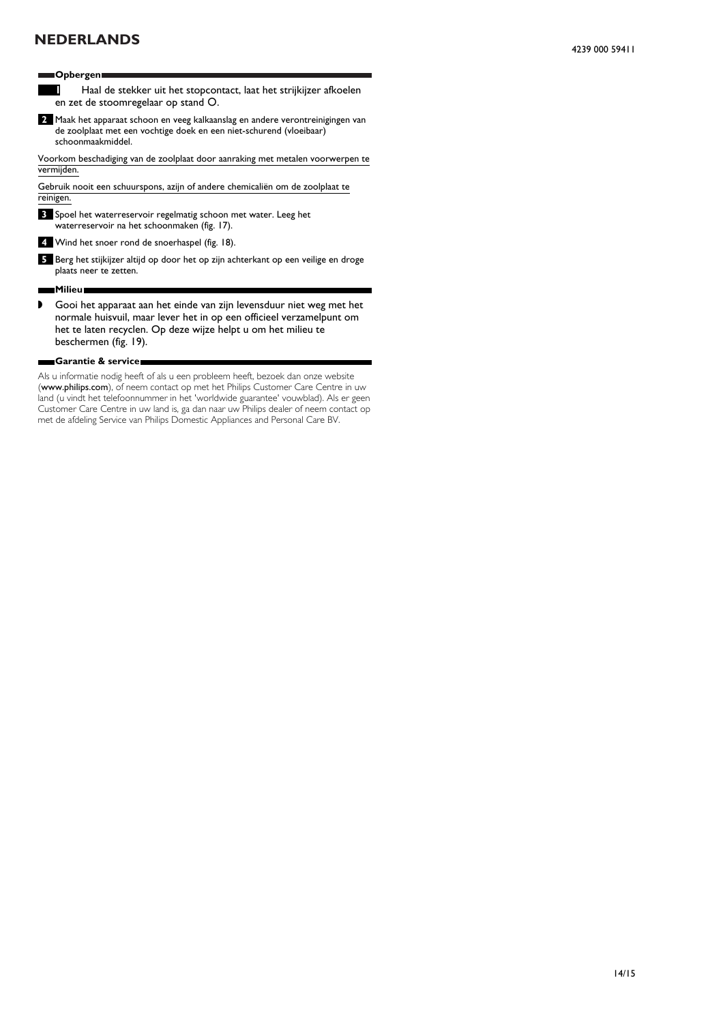## **Opbergen.**

- **1** Haal de stekker uit het stopcontact, laat het strijkijzer afkoelen en zet de stoomregelaar op stand O.
- **2** Maak het apparaat schoon en veeg kalkaanslag en andere verontreinigingen van de zoolplaat met een vochtige doek en een niet-schurend (vloeibaar) schoonmaakmiddel.

Voorkom beschadiging van de zoolplaat door aanraking met metalen voorwerpen te vermijden.

Gebruik nooit een schuurspons, azijn of andere chemicaliën om de zoolplaat te reinigen.

**3** Spoel het waterreservoir regelmatig schoon met water. Leeg het waterreservoir na het schoonmaken (fig. 17).

**4** Wind het snoer rond de snoerhaspel (fig. 18).

**5** Berg het stijkijzer altijd op door het op zijn achterkant op een veilige en droge plaats neer te zetten.

### **Milieu.**

◗ Gooi het apparaat aan het einde van zijn levensduur niet weg met het normale huisvuil, maar lever het in op een officieel verzamelpunt om het te laten recyclen. Op deze wijze helpt u om het milieu te beschermen (fig. 19).

### **Garantie & service.**

Als u informatie nodig heeft of als u een probleem heeft, bezoek dan onze website (www.philips.com), of neem contact op met het Philips Customer Care Centre in uw land (u vindt het telefoonnummer in het 'worldwide guarantee' vouwblad). Als er geen Customer Care Centre in uw land is, ga dan naar uw Philips dealer of neem contact op met de afdeling Service van Philips Domestic Appliances and Personal Care BV.